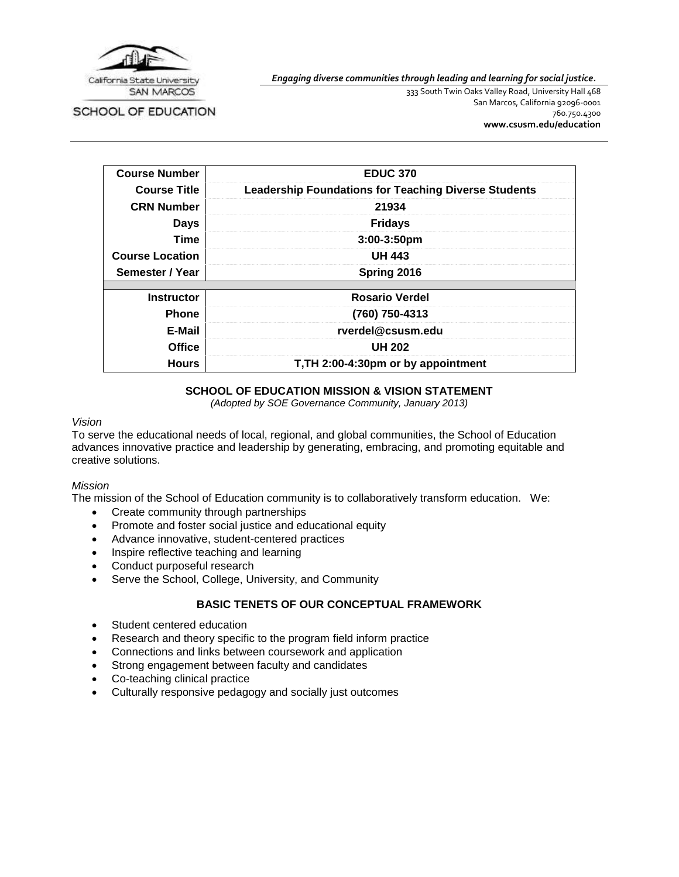

SCHOOL OF EDUCATION

333 South Twin Oaks Valley Road, University Hall 468 San Marcos, California 92096-0001 760.750.4300

*Engaging diverse communities through leading and learning for social justice.*

**[www.csusm.edu/education](http://www.csusm.edu/education)**

| <b>Course Number</b>   | <b>EDUC 370</b>                                             |
|------------------------|-------------------------------------------------------------|
| <b>Course Title</b>    | <b>Leadership Foundations for Teaching Diverse Students</b> |
| <b>CRN Number</b>      | 21934                                                       |
| <b>Days</b>            | <b>Fridays</b>                                              |
| Time                   | 3:00-3:50pm                                                 |
| <b>Course Location</b> | <b>UH 443</b>                                               |
| Semester / Year        | Spring 2016                                                 |
|                        |                                                             |
| <b>Instructor</b>      | <b>Rosario Verdel</b>                                       |
| <b>Phone</b>           | (760) 750-4313                                              |
| E-Mail                 | rverdel@csusm.edu                                           |
| <b>Office</b>          | <b>UH 202</b>                                               |
| <b>Hours</b>           | T, TH 2:00-4:30pm or by appointment                         |

#### **SCHOOL OF EDUCATION MISSION & VISION STATEMENT**

*(Adopted by SOE Governance Community, January 2013)*

#### *Vision*

To serve the educational needs of local, regional, and global communities, the School of Education advances innovative practice and leadership by generating, embracing, and promoting equitable and creative solutions.

#### *Mission*

The mission of the School of Education community is to collaboratively transform education. We:

- Create community through partnerships
- Promote and foster social justice and educational equity
- Advance innovative, student-centered practices
- Inspire reflective teaching and learning
- Conduct purposeful research
- Serve the School, College, University, and Community

## **BASIC TENETS OF OUR CONCEPTUAL FRAMEWORK**

- Student centered education
- Research and theory specific to the program field inform practice
- Connections and links between coursework and application
- Strong engagement between faculty and candidates
- Co-teaching clinical practice
- Culturally responsive pedagogy and socially just outcomes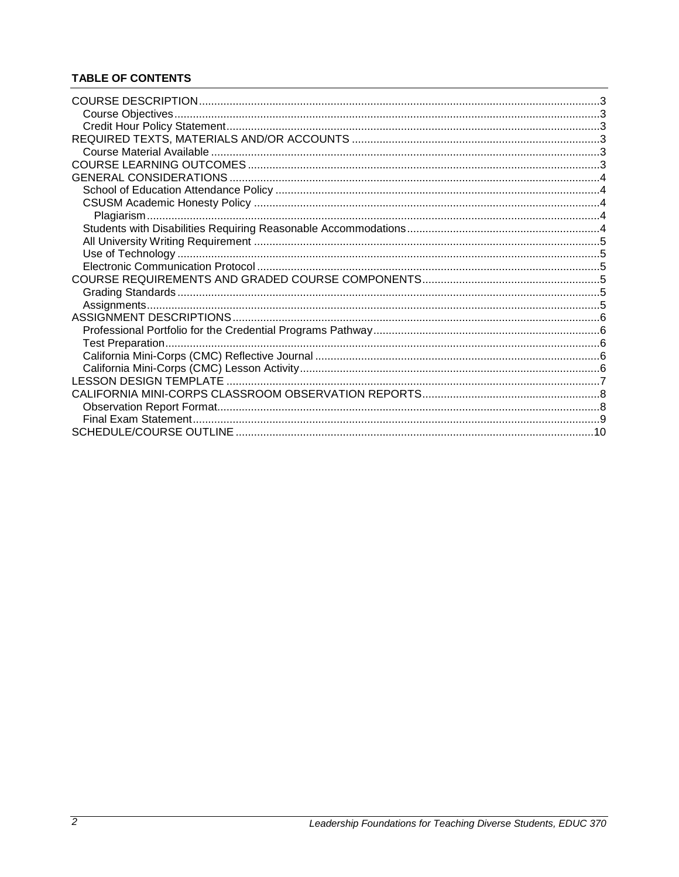## **TABLE OF CONTENTS**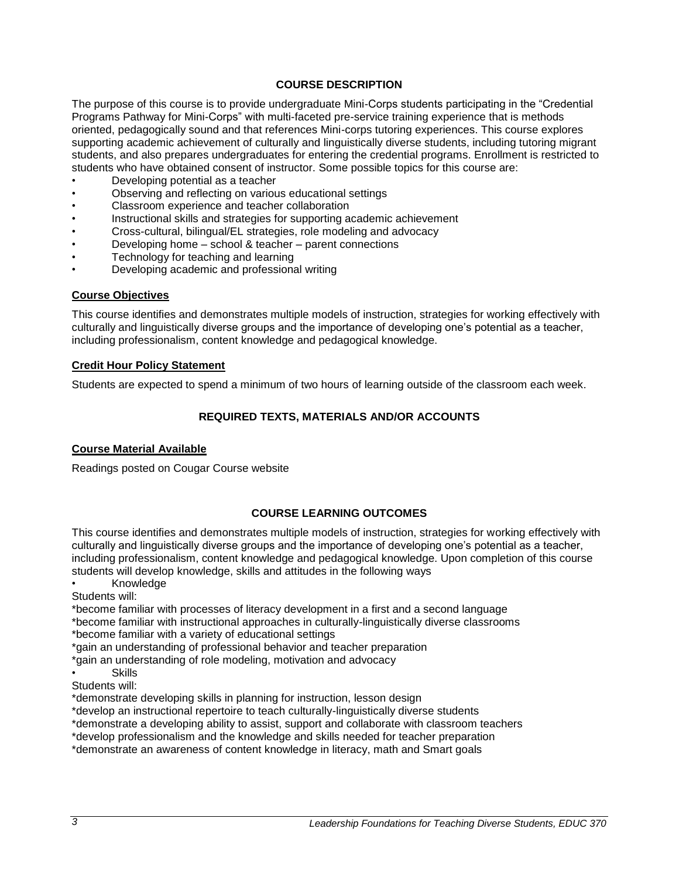## **COURSE DESCRIPTION**

<span id="page-2-0"></span>The purpose of this course is to provide undergraduate Mini-Corps students participating in the "Credential Programs Pathway for Mini-Corps" with multi-faceted pre-service training experience that is methods oriented, pedagogically sound and that references Mini-corps tutoring experiences. This course explores supporting academic achievement of culturally and linguistically diverse students, including tutoring migrant students, and also prepares undergraduates for entering the credential programs. Enrollment is restricted to students who have obtained consent of instructor. Some possible topics for this course are:

- Developing potential as a teacher
- Observing and reflecting on various educational settings
- Classroom experience and teacher collaboration
- Instructional skills and strategies for supporting academic achievement
- Cross-cultural, bilingual/EL strategies, role modeling and advocacy
- Developing home school & teacher parent connections
- Technology for teaching and learning
- Developing academic and professional writing

#### <span id="page-2-1"></span>**Course Objectives**

This course identifies and demonstrates multiple models of instruction, strategies for working effectively with culturally and linguistically diverse groups and the importance of developing one's potential as a teacher, including professionalism, content knowledge and pedagogical knowledge.

#### <span id="page-2-2"></span>**Credit Hour Policy Statement**

<span id="page-2-3"></span>Students are expected to spend a minimum of two hours of learning outside of the classroom each week.

## **REQUIRED TEXTS, MATERIALS AND/OR ACCOUNTS**

#### <span id="page-2-4"></span>**Course Material Available**

Readings posted on Cougar Course website

### **COURSE LEARNING OUTCOMES**

<span id="page-2-5"></span>This course identifies and demonstrates multiple models of instruction, strategies for working effectively with culturally and linguistically diverse groups and the importance of developing one's potential as a teacher, including professionalism, content knowledge and pedagogical knowledge. Upon completion of this course students will develop knowledge, skills and attitudes in the following ways

• Knowledge

Students will:

\*become familiar with processes of literacy development in a first and a second language

\*become familiar with instructional approaches in culturally-linguistically diverse classrooms \*become familiar with a variety of educational settings

\*gain an understanding of professional behavior and teacher preparation

\*gain an understanding of role modeling, motivation and advocacy

• Skills

Students will:

\*demonstrate developing skills in planning for instruction, lesson design

\*develop an instructional repertoire to teach culturally-linguistically diverse students

\*demonstrate a developing ability to assist, support and collaborate with classroom teachers

\*develop professionalism and the knowledge and skills needed for teacher preparation

\*demonstrate an awareness of content knowledge in literacy, math and Smart goals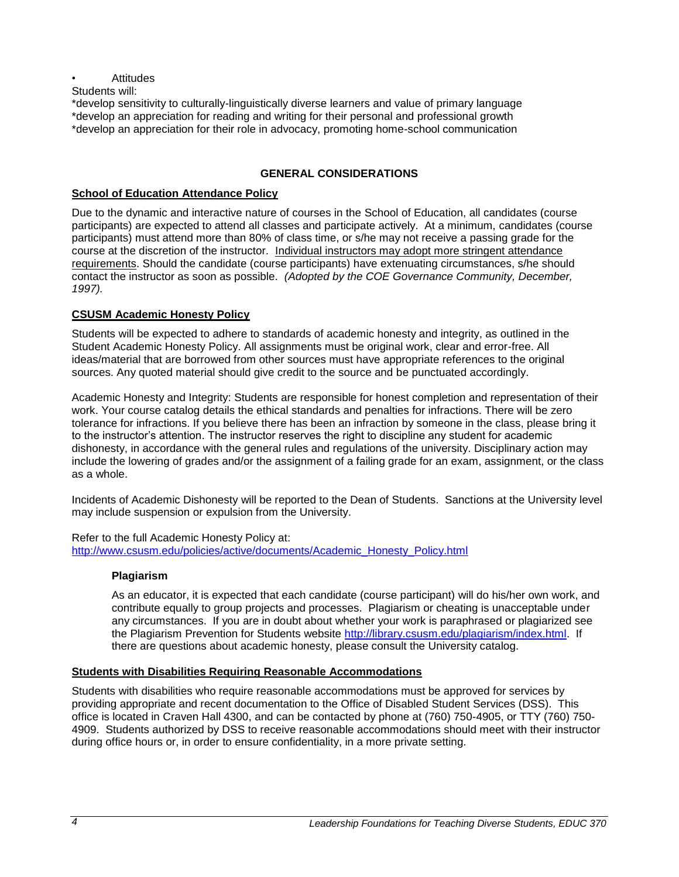### **Attitudes**

Students will:

\*develop sensitivity to culturally-linguistically diverse learners and value of primary language \*develop an appreciation for reading and writing for their personal and professional growth \*develop an appreciation for their role in advocacy, promoting home-school communication

## **GENERAL CONSIDERATIONS**

### <span id="page-3-1"></span><span id="page-3-0"></span>**School of Education Attendance Policy**

Due to the dynamic and interactive nature of courses in the School of Education, all candidates (course participants) are expected to attend all classes and participate actively. At a minimum, candidates (course participants) must attend more than 80% of class time, or s/he may not receive a passing grade for the course at the discretion of the instructor. Individual instructors may adopt more stringent attendance requirements. Should the candidate (course participants) have extenuating circumstances, s/he should contact the instructor as soon as possible. *(Adopted by the COE Governance Community, December, 1997).*

## <span id="page-3-2"></span>**CSUSM Academic Honesty Policy**

Students will be expected to adhere to standards of academic honesty and integrity, as outlined in the Student Academic Honesty Policy. All assignments must be original work, clear and error-free. All ideas/material that are borrowed from other sources must have appropriate references to the original sources. Any quoted material should give credit to the source and be punctuated accordingly.

Academic Honesty and Integrity: Students are responsible for honest completion and representation of their work. Your course catalog details the ethical standards and penalties for infractions. There will be zero tolerance for infractions. If you believe there has been an infraction by someone in the class, please bring it to the instructor's attention. The instructor reserves the right to discipline any student for academic dishonesty, in accordance with the general rules and regulations of the university. Disciplinary action may include the lowering of grades and/or the assignment of a failing grade for an exam, assignment, or the class as a whole.

Incidents of Academic Dishonesty will be reported to the Dean of Students. Sanctions at the University level may include suspension or expulsion from the University.

<span id="page-3-3"></span>Refer to the full Academic Honesty Policy at: [http://www.csusm.edu/policies/active/documents/Academic\\_Honesty\\_Policy.html](http://www.csusm.edu/policies/active/documents/Academic_Honesty_Policy.html)

### **Plagiarism**

As an educator, it is expected that each candidate (course participant) will do his/her own work, and contribute equally to group projects and processes. Plagiarism or cheating is unacceptable under any circumstances. If you are in doubt about whether your work is paraphrased or plagiarized see the Plagiarism Prevention for Students website [http://library.csusm.edu/plagiarism/index.html.](http://library.csusm.edu/plagiarism/index.html) If there are questions about academic honesty, please consult the University catalog.

### <span id="page-3-4"></span>**Students with Disabilities Requiring Reasonable Accommodations**

Students with disabilities who require reasonable accommodations must be approved for services by providing appropriate and recent documentation to the Office of Disabled Student Services (DSS). This office is located in Craven Hall 4300, and can be contacted by phone at (760) 750-4905, or TTY (760) 750- 4909. Students authorized by DSS to receive reasonable accommodations should meet with their instructor during office hours or, in order to ensure confidentiality, in a more private setting.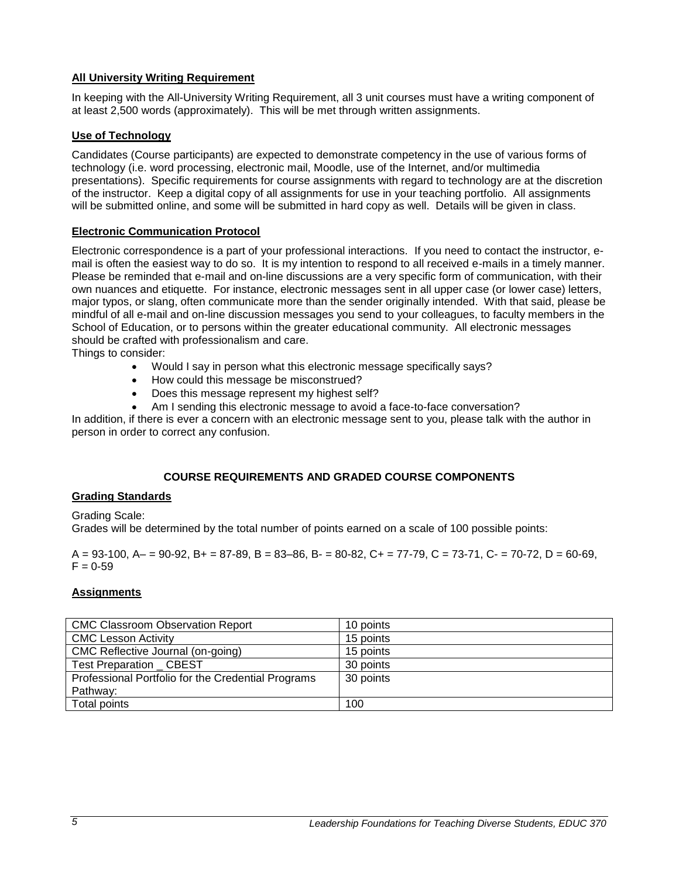## <span id="page-4-0"></span>**All University Writing Requirement**

In keeping with the All-University Writing Requirement, all 3 unit courses must have a writing component of at least 2,500 words (approximately). This will be met through written assignments.

### <span id="page-4-1"></span>**Use of Technology**

Candidates (Course participants) are expected to demonstrate competency in the use of various forms of technology (i.e. word processing, electronic mail, Moodle, use of the Internet, and/or multimedia presentations). Specific requirements for course assignments with regard to technology are at the discretion of the instructor. Keep a digital copy of all assignments for use in your teaching portfolio. All assignments will be submitted online, and some will be submitted in hard copy as well. Details will be given in class.

### <span id="page-4-2"></span>**Electronic Communication Protocol**

Electronic correspondence is a part of your professional interactions. If you need to contact the instructor, email is often the easiest way to do so. It is my intention to respond to all received e-mails in a timely manner. Please be reminded that e-mail and on-line discussions are a very specific form of communication, with their own nuances and etiquette. For instance, electronic messages sent in all upper case (or lower case) letters, major typos, or slang, often communicate more than the sender originally intended. With that said, please be mindful of all e-mail and on-line discussion messages you send to your colleagues, to faculty members in the School of Education, or to persons within the greater educational community. All electronic messages should be crafted with professionalism and care.

Things to consider:

- Would I say in person what this electronic message specifically says?
- How could this message be misconstrued?
- Does this message represent my highest self?
- Am I sending this electronic message to avoid a face-to-face conversation?

In addition, if there is ever a concern with an electronic message sent to you, please talk with the author in person in order to correct any confusion.

### **COURSE REQUIREMENTS AND GRADED COURSE COMPONENTS**

#### <span id="page-4-4"></span><span id="page-4-3"></span>**Grading Standards**

Grading Scale:

Grades will be determined by the total number of points earned on a scale of 100 possible points:

 $A = 93-100$ ,  $A = 90-92$ ,  $B = 87-89$ ,  $B = 83-86$ ,  $B = 80-82$ ,  $C = 77-79$ ,  $C = 73-71$ ,  $C = 70-72$ ,  $D = 60-69$ ,  $F = 0.59$ 

#### <span id="page-4-5"></span>**Assignments**

| <b>CMC Classroom Observation Report</b>            | 10 points |  |
|----------------------------------------------------|-----------|--|
| <b>CMC Lesson Activity</b>                         | 15 points |  |
| CMC Reflective Journal (on-going)                  | 15 points |  |
| Test Preparation _ CBEST                           | 30 points |  |
| Professional Portfolio for the Credential Programs | 30 points |  |
| Pathway:                                           |           |  |
| Total points                                       | 100       |  |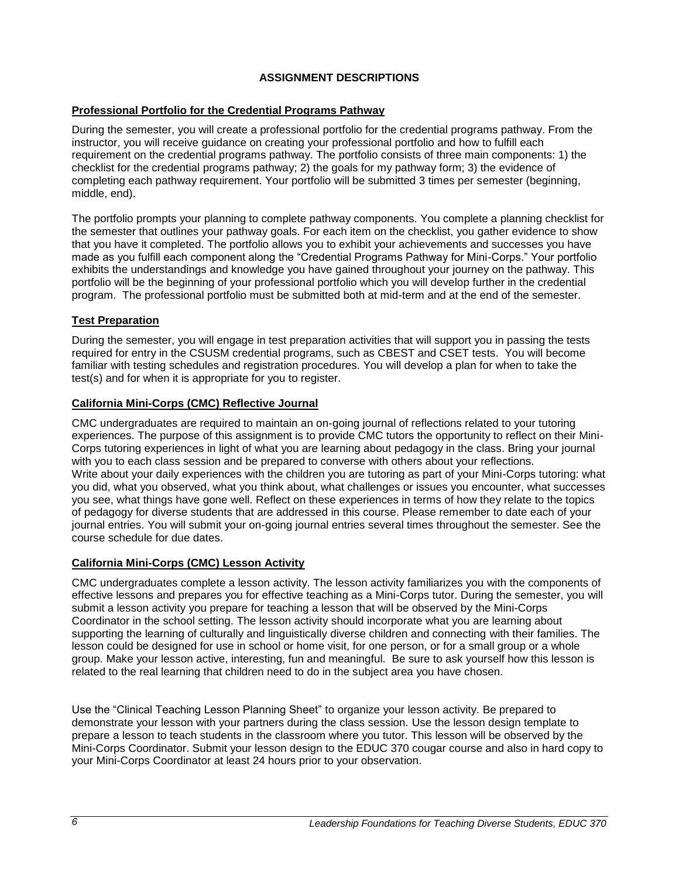## **ASSIGNMENT DESCRIPTIONS**

### <span id="page-5-1"></span><span id="page-5-0"></span>**Professional Portfolio for the Credential Programs Pathway**

During the semester, you will create a professional portfolio for the credential programs pathway. From the instructor, you will receive guidance on creating your professional portfolio and how to fulfill each requirement on the credential programs pathway. The portfolio consists of three main components: 1) the checklist for the credential programs pathway; 2) the goals for my pathway form; 3) the evidence of completing each pathway requirement. Your portfolio will be submitted 3 times per semester (beginning, middle, end).

The portfolio prompts your planning to complete pathway components. You complete a planning checklist for the semester that outlines your pathway goals. For each item on the checklist, you gather evidence to show that you have it completed. The portfolio allows you to exhibit your achievements and successes you have made as you fulfill each component along the "Credential Programs Pathway for Mini-Corps." Your portfolio exhibits the understandings and knowledge you have gained throughout your journey on the pathway. This portfolio will be the beginning of your professional portfolio which you will develop further in the credential program. The professional portfolio must be submitted both at mid-term and at the end of the semester.

### <span id="page-5-2"></span>**Test Preparation**

During the semester, you will engage in test preparation activities that will support you in passing the tests required for entry in the CSUSM credential programs, such as CBEST and CSET tests. You will become familiar with testing schedules and registration procedures. You will develop a plan for when to take the test(s) and for when it is appropriate for you to register.

### <span id="page-5-3"></span>**California Mini-Corps (CMC) Reflective Journal**

CMC undergraduates are required to maintain an on-going journal of reflections related to your tutoring experiences. The purpose of this assignment is to provide CMC tutors the opportunity to reflect on their Mini-Corps tutoring experiences in light of what you are learning about pedagogy in the class. Bring your journal with you to each class session and be prepared to converse with others about your reflections. Write about your daily experiences with the children you are tutoring as part of your Mini-Corps tutoring: what you did, what you observed, what you think about, what challenges or issues you encounter, what successes you see, what things have gone well. Reflect on these experiences in terms of how they relate to the topics of pedagogy for diverse students that are addressed in this course. Please remember to date each of your journal entries. You will submit your on-going journal entries several times throughout the semester. See the course schedule for due dates.

## <span id="page-5-4"></span>**California Mini-Corps (CMC) Lesson Activity**

CMC undergraduates complete a lesson activity. The lesson activity familiarizes you with the components of effective lessons and prepares you for effective teaching as a Mini-Corps tutor. During the semester, you will submit a lesson activity you prepare for teaching a lesson that will be observed by the Mini-Corps Coordinator in the school setting. The lesson activity should incorporate what you are learning about supporting the learning of culturally and linguistically diverse children and connecting with their families. The lesson could be designed for use in school or home visit, for one person, or for a small group or a whole group. Make your lesson active, interesting, fun and meaningful. Be sure to ask yourself how this lesson is related to the real learning that children need to do in the subject area you have chosen.

Use the "Clinical Teaching Lesson Planning Sheet" to organize your lesson activity. Be prepared to demonstrate your lesson with your partners during the class session. Use the lesson design template to prepare a lesson to teach students in the classroom where you tutor. This lesson will be observed by the Mini-Corps Coordinator. Submit your lesson design to the EDUC 370 cougar course and also in hard copy to your Mini-Corps Coordinator at least 24 hours prior to your observation.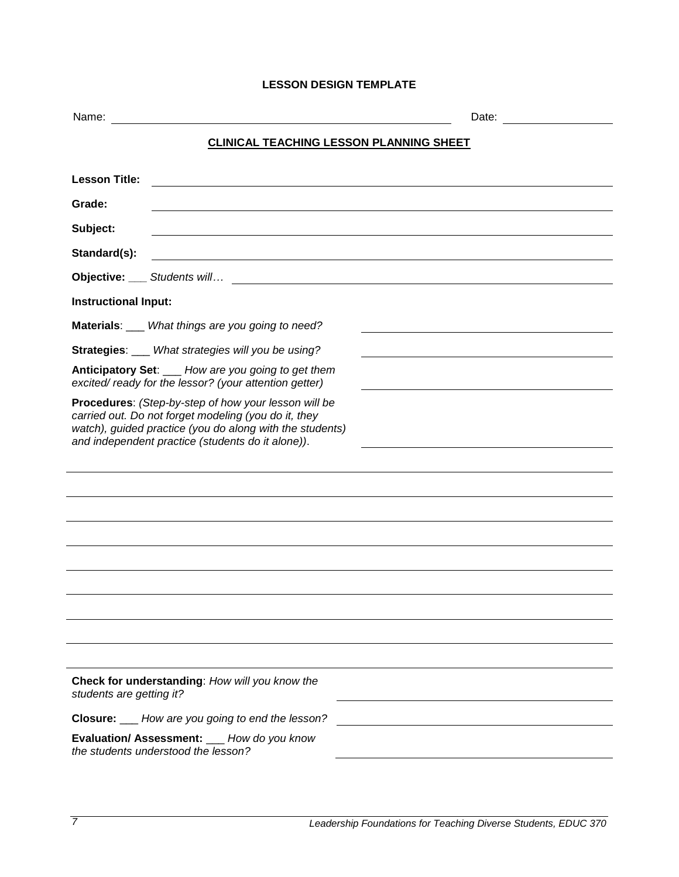## **LESSON DESIGN TEMPLATE**

<span id="page-6-0"></span>

| Name:<br>Date:                                                                                                                                                                                                                |  |  |
|-------------------------------------------------------------------------------------------------------------------------------------------------------------------------------------------------------------------------------|--|--|
| <b>CLINICAL TEACHING LESSON PLANNING SHEET</b>                                                                                                                                                                                |  |  |
| <b>Lesson Title:</b><br><u> 1989 - John Stein, marking am deur de Berlin (d. 1989)</u>                                                                                                                                        |  |  |
| Grade:                                                                                                                                                                                                                        |  |  |
| Subject:                                                                                                                                                                                                                      |  |  |
| Standard(s):<br><u> 1989 - Johann Barn, mars ann an t-Amhain ann an t-Amhain an t-Amhain an t-Amhain an t-Amhain an t-Amhain an t-</u>                                                                                        |  |  |
|                                                                                                                                                                                                                               |  |  |
| <b>Instructional Input:</b>                                                                                                                                                                                                   |  |  |
| Materials: ___ What things are you going to need?                                                                                                                                                                             |  |  |
| <b>Strategies:</b> What strategies will you be using?                                                                                                                                                                         |  |  |
| Anticipatory Set: ___ How are you going to get them<br>excited/ready for the lessor? (your attention getter)                                                                                                                  |  |  |
| Procedures: (Step-by-step of how your lesson will be<br>carried out. Do not forget modeling (you do it, they<br>watch), guided practice (you do along with the students)<br>and independent practice (students do it alone)). |  |  |
|                                                                                                                                                                                                                               |  |  |
|                                                                                                                                                                                                                               |  |  |
|                                                                                                                                                                                                                               |  |  |
|                                                                                                                                                                                                                               |  |  |
|                                                                                                                                                                                                                               |  |  |
|                                                                                                                                                                                                                               |  |  |
|                                                                                                                                                                                                                               |  |  |
|                                                                                                                                                                                                                               |  |  |
|                                                                                                                                                                                                                               |  |  |
| Check for understanding: How will you know the<br>students are getting it?                                                                                                                                                    |  |  |
| <b>Closure:</b> ___ How are you going to end the lesson?                                                                                                                                                                      |  |  |
| Evaluation/ Assessment: ___ How do you know<br>the students understood the lesson?                                                                                                                                            |  |  |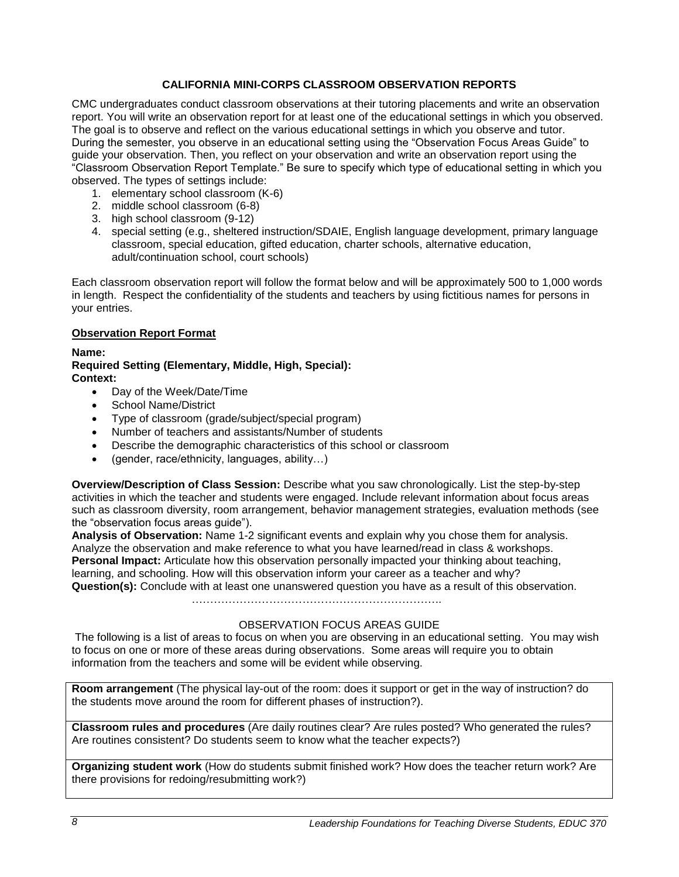## **CALIFORNIA MINI-CORPS CLASSROOM OBSERVATION REPORTS**

<span id="page-7-0"></span>CMC undergraduates conduct classroom observations at their tutoring placements and write an observation report. You will write an observation report for at least one of the educational settings in which you observed. The goal is to observe and reflect on the various educational settings in which you observe and tutor. During the semester, you observe in an educational setting using the "Observation Focus Areas Guide" to guide your observation. Then, you reflect on your observation and write an observation report using the "Classroom Observation Report Template." Be sure to specify which type of educational setting in which you observed. The types of settings include:

- 1. elementary school classroom (K-6)
- 2. middle school classroom (6-8)
- 3. high school classroom (9-12)
- 4. special setting (e.g., sheltered instruction/SDAIE, English language development, primary language classroom, special education, gifted education, charter schools, alternative education, adult/continuation school, court schools)

Each classroom observation report will follow the format below and will be approximately 500 to 1,000 words in length. Respect the confidentiality of the students and teachers by using fictitious names for persons in your entries.

#### <span id="page-7-1"></span>**Observation Report Format**

#### **Name:**

#### **Required Setting (Elementary, Middle, High, Special): Context:**

- Day of the Week/Date/Time
- School Name/District
- Type of classroom (grade/subject/special program)
- Number of teachers and assistants/Number of students
- Describe the demographic characteristics of this school or classroom
- (gender, race/ethnicity, languages, ability…)

**Overview/Description of Class Session:** Describe what you saw chronologically. List the step-by-step activities in which the teacher and students were engaged. Include relevant information about focus areas such as classroom diversity, room arrangement, behavior management strategies, evaluation methods (see the "observation focus areas guide").

**Analysis of Observation:** Name 1-2 significant events and explain why you chose them for analysis. Analyze the observation and make reference to what you have learned/read in class & workshops. **Personal Impact:** Articulate how this observation personally impacted your thinking about teaching, learning, and schooling. How will this observation inform your career as a teacher and why? **Question(s):** Conclude with at least one unanswered question you have as a result of this observation.

…………………………………………………………..

### OBSERVATION FOCUS AREAS GUIDE

The following is a list of areas to focus on when you are observing in an educational setting. You may wish to focus on one or more of these areas during observations. Some areas will require you to obtain information from the teachers and some will be evident while observing.

**Room arrangement** (The physical lay-out of the room: does it support or get in the way of instruction? do the students move around the room for different phases of instruction?).

**Classroom rules and procedures** (Are daily routines clear? Are rules posted? Who generated the rules? Are routines consistent? Do students seem to know what the teacher expects?)

**Organizing student work** (How do students submit finished work? How does the teacher return work? Are there provisions for redoing/resubmitting work?)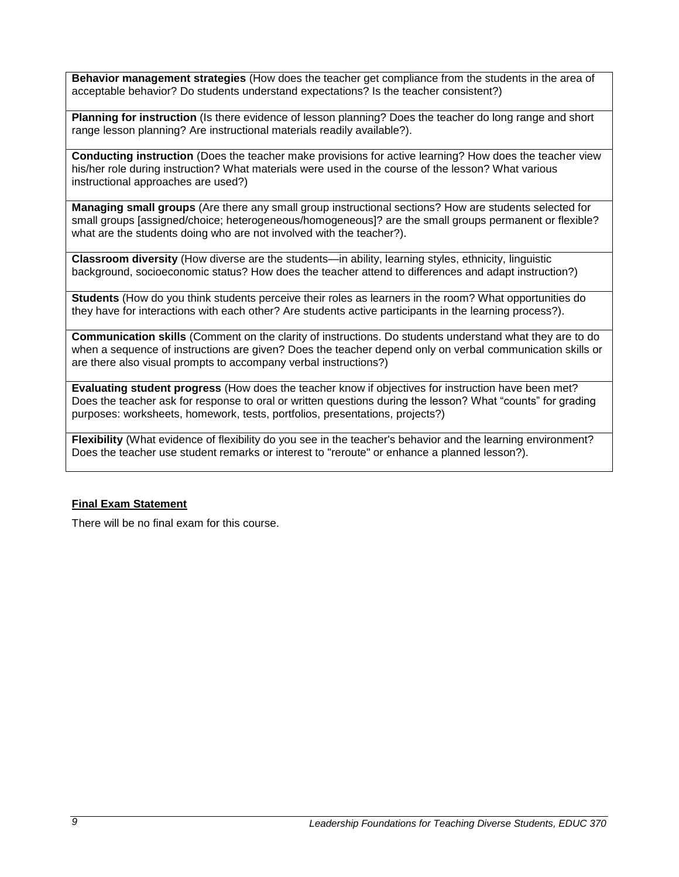**Behavior management strategies** (How does the teacher get compliance from the students in the area of acceptable behavior? Do students understand expectations? Is the teacher consistent?)

**Planning for instruction** (Is there evidence of lesson planning? Does the teacher do long range and short range lesson planning? Are instructional materials readily available?).

**Conducting instruction** (Does the teacher make provisions for active learning? How does the teacher view his/her role during instruction? What materials were used in the course of the lesson? What various instructional approaches are used?)

**Managing small groups** (Are there any small group instructional sections? How are students selected for small groups [assigned/choice; heterogeneous/homogeneous]? are the small groups permanent or flexible? what are the students doing who are not involved with the teacher?).

**Classroom diversity** (How diverse are the students—in ability, learning styles, ethnicity, linguistic background, socioeconomic status? How does the teacher attend to differences and adapt instruction?)

**Students** (How do you think students perceive their roles as learners in the room? What opportunities do they have for interactions with each other? Are students active participants in the learning process?).

**Communication skills** (Comment on the clarity of instructions. Do students understand what they are to do when a sequence of instructions are given? Does the teacher depend only on verbal communication skills or are there also visual prompts to accompany verbal instructions?)

**Evaluating student progress** (How does the teacher know if objectives for instruction have been met? Does the teacher ask for response to oral or written questions during the lesson? What "counts" for grading purposes: worksheets, homework, tests, portfolios, presentations, projects?)

**Flexibility** (What evidence of flexibility do you see in the teacher's behavior and the learning environment? Does the teacher use student remarks or interest to "reroute" or enhance a planned lesson?).

#### <span id="page-8-0"></span>**Final Exam Statement**

There will be no final exam for this course.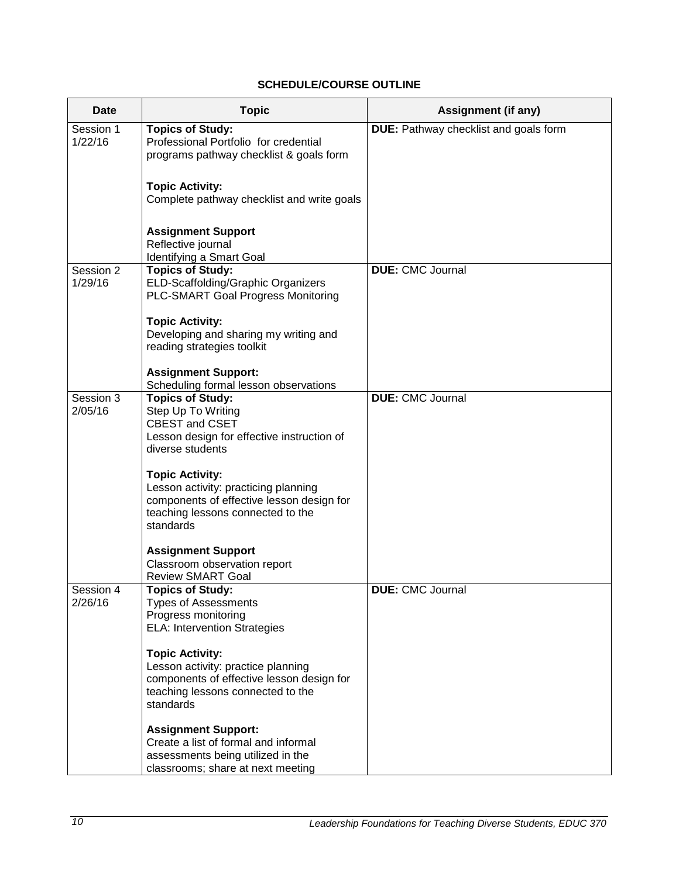# **SCHEDULE/COURSE OUTLINE**

<span id="page-9-0"></span>

| Date                 | <b>Topic</b>                                                                                                                                                                                               | <b>Assignment (if any)</b>                   |
|----------------------|------------------------------------------------------------------------------------------------------------------------------------------------------------------------------------------------------------|----------------------------------------------|
| Session 1<br>1/22/16 | <b>Topics of Study:</b><br>Professional Portfolio for credential<br>programs pathway checklist & goals form                                                                                                | <b>DUE:</b> Pathway checklist and goals form |
|                      | <b>Topic Activity:</b><br>Complete pathway checklist and write goals                                                                                                                                       |                                              |
|                      | <b>Assignment Support</b><br>Reflective journal<br>Identifying a Smart Goal                                                                                                                                |                                              |
| Session 2<br>1/29/16 | <b>Topics of Study:</b><br>ELD-Scaffolding/Graphic Organizers<br><b>PLC-SMART Goal Progress Monitoring</b>                                                                                                 | <b>DUE: CMC Journal</b>                      |
|                      | <b>Topic Activity:</b><br>Developing and sharing my writing and<br>reading strategies toolkit                                                                                                              |                                              |
|                      | <b>Assignment Support:</b><br>Scheduling formal lesson observations                                                                                                                                        |                                              |
| Session 3<br>2/05/16 | <b>Topics of Study:</b><br>Step Up To Writing<br><b>CBEST and CSET</b><br>Lesson design for effective instruction of<br>diverse students<br><b>Topic Activity:</b><br>Lesson activity: practicing planning | <b>DUE: CMC Journal</b>                      |
|                      | components of effective lesson design for<br>teaching lessons connected to the<br>standards                                                                                                                |                                              |
|                      | <b>Assignment Support</b><br>Classroom observation report<br><b>Review SMART Goal</b>                                                                                                                      |                                              |
| Session 4<br>2/26/16 | <b>Topics of Study:</b><br><b>Types of Assessments</b><br>Progress monitoring<br><b>ELA: Intervention Strategies</b>                                                                                       | <b>DUE: CMC Journal</b>                      |
|                      | <b>Topic Activity:</b><br>Lesson activity: practice planning<br>components of effective lesson design for<br>teaching lessons connected to the<br>standards                                                |                                              |
|                      | <b>Assignment Support:</b><br>Create a list of formal and informal<br>assessments being utilized in the<br>classrooms; share at next meeting                                                               |                                              |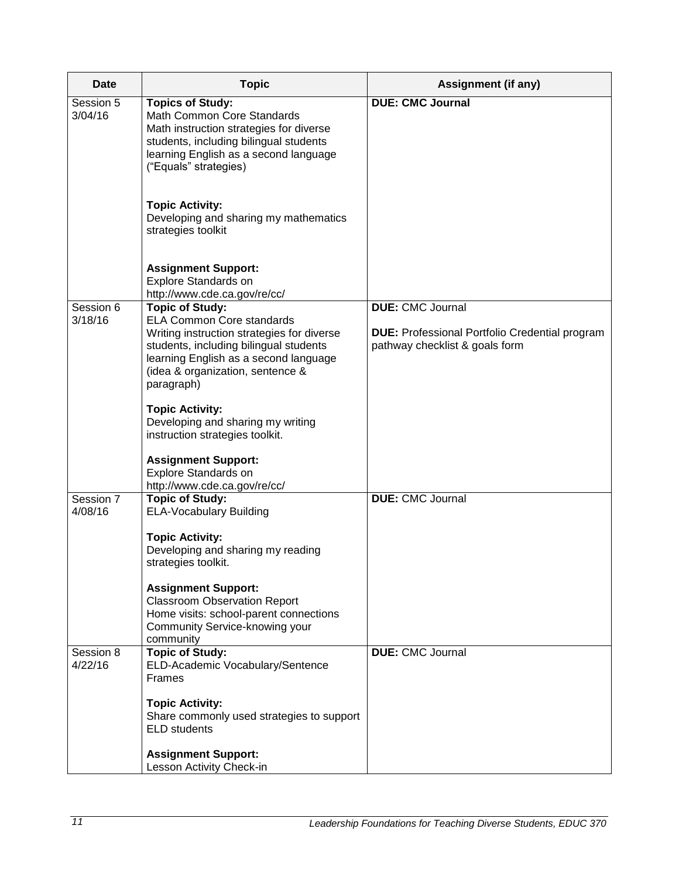| Date                 | <b>Topic</b>                                                                                                                                                                                                        | Assignment (if any)                                                                     |
|----------------------|---------------------------------------------------------------------------------------------------------------------------------------------------------------------------------------------------------------------|-----------------------------------------------------------------------------------------|
| Session 5<br>3/04/16 | <b>Topics of Study:</b><br>Math Common Core Standards<br>Math instruction strategies for diverse<br>students, including bilingual students<br>learning English as a second language<br>("Equals" strategies)        | <b>DUE: CMC Journal</b>                                                                 |
|                      | <b>Topic Activity:</b><br>Developing and sharing my mathematics<br>strategies toolkit                                                                                                                               |                                                                                         |
|                      | <b>Assignment Support:</b><br>Explore Standards on<br>http://www.cde.ca.gov/re/cc/                                                                                                                                  |                                                                                         |
| Session 6            | <b>Topic of Study:</b>                                                                                                                                                                                              | <b>DUE: CMC Journal</b>                                                                 |
| 3/18/16              | <b>ELA Common Core standards</b><br>Writing instruction strategies for diverse<br>students, including bilingual students<br>learning English as a second language<br>(idea & organization, sentence &<br>paragraph) | <b>DUE:</b> Professional Portfolio Credential program<br>pathway checklist & goals form |
|                      | <b>Topic Activity:</b><br>Developing and sharing my writing<br>instruction strategies toolkit.                                                                                                                      |                                                                                         |
|                      | <b>Assignment Support:</b><br>Explore Standards on<br>http://www.cde.ca.gov/re/cc/                                                                                                                                  |                                                                                         |
| Session 7<br>4/08/16 | <b>Topic of Study:</b><br><b>ELA-Vocabulary Building</b>                                                                                                                                                            | <b>DUE: CMC Journal</b>                                                                 |
|                      | <b>Topic Activity:</b><br>Developing and sharing my reading<br>strategies toolkit.                                                                                                                                  |                                                                                         |
|                      | <b>Assignment Support:</b><br><b>Classroom Observation Report</b><br>Home visits: school-parent connections<br>Community Service-knowing your<br>community                                                          |                                                                                         |
| Session 8<br>4/22/16 | <b>Topic of Study:</b><br>ELD-Academic Vocabulary/Sentence<br><b>Frames</b>                                                                                                                                         | <b>DUE: CMC Journal</b>                                                                 |
|                      | <b>Topic Activity:</b><br>Share commonly used strategies to support<br><b>ELD</b> students                                                                                                                          |                                                                                         |
|                      | <b>Assignment Support:</b><br>Lesson Activity Check-in                                                                                                                                                              |                                                                                         |